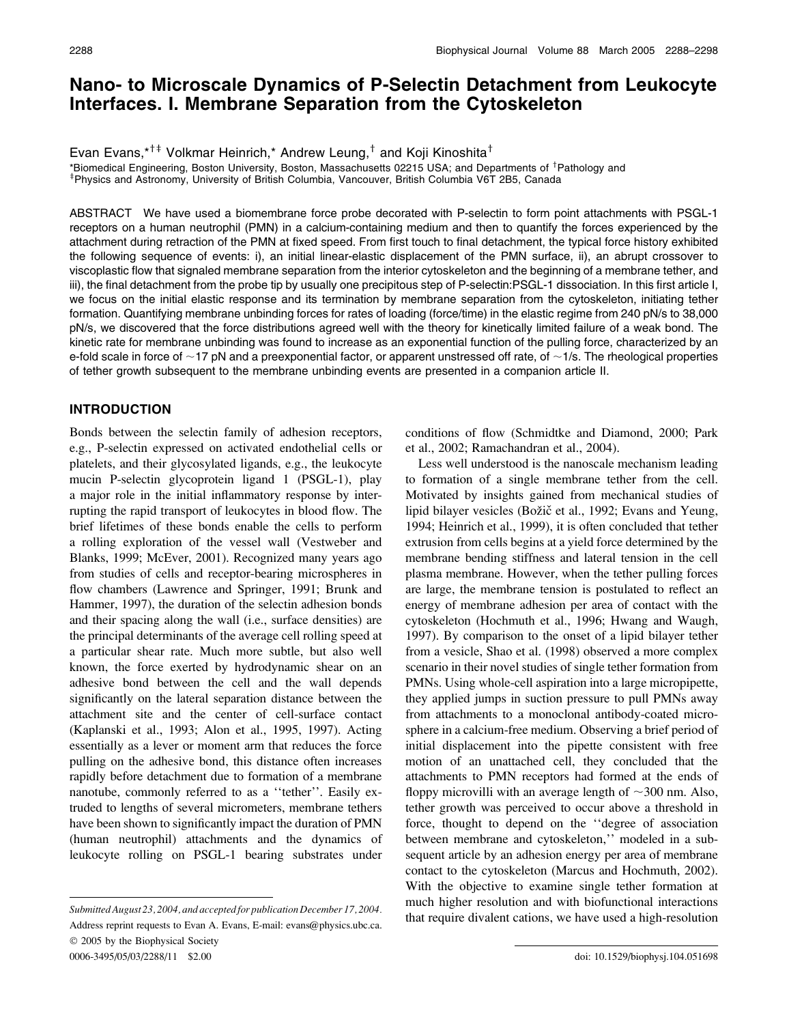# Nano- to Microscale Dynamics of P-Selectin Detachment from Leukocyte Interfaces. I. Membrane Separation from the Cytoskeleton

Evan Evans,  $*^{+\ddagger}$  Volkmar Heinrich,\* Andrew Leung, $^{\ddagger}$  and Koji Kinoshita<sup>†</sup>

\*Biomedical Engineering, Boston University, Boston, Massachusetts 02215 USA; and Departments of <sup>†</sup>Pathology and <sup>‡</sup>Physics and Astronomy, University of British Columbia, Vancouver, British Columbia V6T 2B5, Canada

ABSTRACT We have used a biomembrane force probe decorated with P-selectin to form point attachments with PSGL-1 receptors on a human neutrophil (PMN) in a calcium-containing medium and then to quantify the forces experienced by the attachment during retraction of the PMN at fixed speed. From first touch to final detachment, the typical force history exhibited the following sequence of events: i), an initial linear-elastic displacement of the PMN surface, ii), an abrupt crossover to viscoplastic flow that signaled membrane separation from the interior cytoskeleton and the beginning of a membrane tether, and iii), the final detachment from the probe tip by usually one precipitous step of P-selectin:PSGL-1 dissociation. In this first article I, we focus on the initial elastic response and its termination by membrane separation from the cytoskeleton, initiating tether formation. Quantifying membrane unbinding forces for rates of loading (force/time) in the elastic regime from 240 pN/s to 38,000 pN/s, we discovered that the force distributions agreed well with the theory for kinetically limited failure of a weak bond. The kinetic rate for membrane unbinding was found to increase as an exponential function of the pulling force, characterized by an e-fold scale in force of  $\sim$ 17 pN and a preexponential factor, or apparent unstressed off rate, of  $\sim$ 1/s. The rheological properties of tether growth subsequent to the membrane unbinding events are presented in a companion article II.

#### INTRODUCTION

Bonds between the selectin family of adhesion receptors, e.g., P-selectin expressed on activated endothelial cells or platelets, and their glycosylated ligands, e.g., the leukocyte mucin P-selectin glycoprotein ligand 1 (PSGL-1), play a major role in the initial inflammatory response by interrupting the rapid transport of leukocytes in blood flow. The brief lifetimes of these bonds enable the cells to perform a rolling exploration of the vessel wall (Vestweber and Blanks, 1999; McEver, 2001). Recognized many years ago from studies of cells and receptor-bearing microspheres in flow chambers (Lawrence and Springer, 1991; Brunk and Hammer, 1997), the duration of the selectin adhesion bonds and their spacing along the wall (i.e., surface densities) are the principal determinants of the average cell rolling speed at a particular shear rate. Much more subtle, but also well known, the force exerted by hydrodynamic shear on an adhesive bond between the cell and the wall depends significantly on the lateral separation distance between the attachment site and the center of cell-surface contact (Kaplanski et al., 1993; Alon et al., 1995, 1997). Acting essentially as a lever or moment arm that reduces the force pulling on the adhesive bond, this distance often increases rapidly before detachment due to formation of a membrane nanotube, commonly referred to as a ''tether''. Easily extruded to lengths of several micrometers, membrane tethers have been shown to significantly impact the duration of PMN (human neutrophil) attachments and the dynamics of leukocyte rolling on PSGL-1 bearing substrates under conditions of flow (Schmidtke and Diamond, 2000; Park et al., 2002; Ramachandran et al., 2004).

Less well understood is the nanoscale mechanism leading to formation of a single membrane tether from the cell. Motivated by insights gained from mechanical studies of lipid bilayer vesicles (Božič et al., 1992; Evans and Yeung, 1994; Heinrich et al., 1999), it is often concluded that tether extrusion from cells begins at a yield force determined by the membrane bending stiffness and lateral tension in the cell plasma membrane. However, when the tether pulling forces are large, the membrane tension is postulated to reflect an energy of membrane adhesion per area of contact with the cytoskeleton (Hochmuth et al., 1996; Hwang and Waugh, 1997). By comparison to the onset of a lipid bilayer tether from a vesicle, Shao et al. (1998) observed a more complex scenario in their novel studies of single tether formation from PMNs. Using whole-cell aspiration into a large micropipette, they applied jumps in suction pressure to pull PMNs away from attachments to a monoclonal antibody-coated microsphere in a calcium-free medium. Observing a brief period of initial displacement into the pipette consistent with free motion of an unattached cell, they concluded that the attachments to PMN receptors had formed at the ends of floppy microvilli with an average length of  $\sim$ 300 nm. Also, tether growth was perceived to occur above a threshold in force, thought to depend on the ''degree of association between membrane and cytoskeleton,'' modeled in a subsequent article by an adhesion energy per area of membrane contact to the cytoskeleton (Marcus and Hochmuth, 2002). With the objective to examine single tether formation at much higher resolution and with biofunctional interactions Submitted August 23, 2004, and accepted for publication December 17, 2004. That require divalent cations, we have used a high-resolution

Address reprint requests to Evan A. Evans, E-mail: evans@physics.ubc.ca.  $© 2005$  by the Biophysical Society 0006-3495/05/03/2288/11 \$2.00 doi: 10.1529/biophysj.104.051698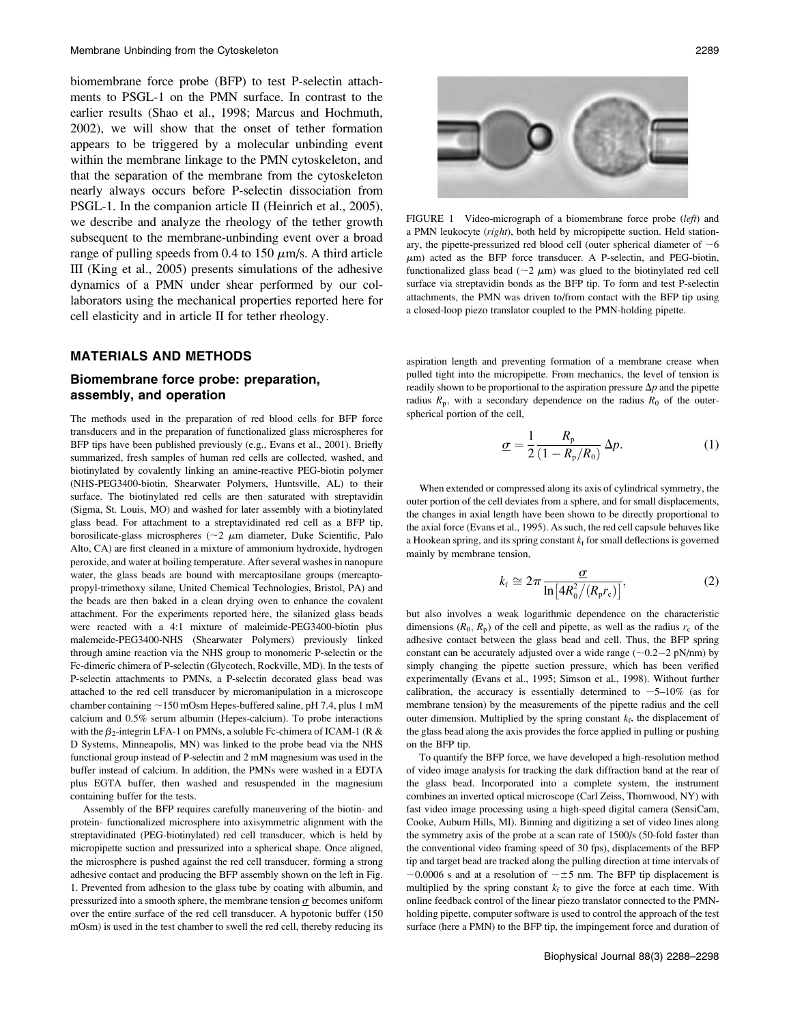biomembrane force probe (BFP) to test P-selectin attachments to PSGL-1 on the PMN surface. In contrast to the earlier results (Shao et al., 1998; Marcus and Hochmuth, 2002), we will show that the onset of tether formation appears to be triggered by a molecular unbinding event within the membrane linkage to the PMN cytoskeleton, and that the separation of the membrane from the cytoskeleton nearly always occurs before P-selectin dissociation from PSGL-1. In the companion article II (Heinrich et al., 2005), we describe and analyze the rheology of the tether growth subsequent to the membrane-unbinding event over a broad range of pulling speeds from 0.4 to 150  $\mu$ m/s. A third article III (King et al., 2005) presents simulations of the adhesive dynamics of a PMN under shear performed by our collaborators using the mechanical properties reported here for cell elasticity and in article II for tether rheology.

#### MATERIALS AND METHODS

### Biomembrane force probe: preparation, assembly, and operation

The methods used in the preparation of red blood cells for BFP force transducers and in the preparation of functionalized glass microspheres for BFP tips have been published previously (e.g., Evans et al., 2001). Briefly summarized, fresh samples of human red cells are collected, washed, and biotinylated by covalently linking an amine-reactive PEG-biotin polymer (NHS-PEG3400-biotin, Shearwater Polymers, Huntsville, AL) to their surface. The biotinylated red cells are then saturated with streptavidin (Sigma, St. Louis, MO) and washed for later assembly with a biotinylated glass bead. For attachment to a streptavidinated red cell as a BFP tip, borosilicate-glass microspheres ( $\sim$ 2  $\mu$ m diameter, Duke Scientific, Palo Alto, CA) are first cleaned in a mixture of ammonium hydroxide, hydrogen peroxide, and water at boiling temperature. After several washes in nanopure water, the glass beads are bound with mercaptosilane groups (mercaptopropyl-trimethoxy silane, United Chemical Technologies, Bristol, PA) and the beads are then baked in a clean drying oven to enhance the covalent attachment. For the experiments reported here, the silanized glass beads were reacted with a 4:1 mixture of maleimide-PEG3400-biotin plus malemeide-PEG3400-NHS (Shearwater Polymers) previously linked through amine reaction via the NHS group to monomeric P-selectin or the Fc-dimeric chimera of P-selectin (Glycotech, Rockville, MD). In the tests of P-selectin attachments to PMNs, a P-selectin decorated glass bead was attached to the red cell transducer by micromanipulation in a microscope chamber containing  $\sim$ 150 mOsm Hepes-buffered saline, pH 7.4, plus 1 mM calcium and 0.5% serum albumin (Hepes-calcium). To probe interactions with the  $\beta_2$ -integrin LFA-1 on PMNs, a soluble Fc-chimera of ICAM-1 (R & D Systems, Minneapolis, MN) was linked to the probe bead via the NHS functional group instead of P-selectin and 2 mM magnesium was used in the buffer instead of calcium. In addition, the PMNs were washed in a EDTA plus EGTA buffer, then washed and resuspended in the magnesium containing buffer for the tests.

Assembly of the BFP requires carefully maneuvering of the biotin- and protein- functionalized microsphere into axisymmetric alignment with the streptavidinated (PEG-biotinylated) red cell transducer, which is held by micropipette suction and pressurized into a spherical shape. Once aligned, the microsphere is pushed against the red cell transducer, forming a strong adhesive contact and producing the BFP assembly shown on the left in Fig. 1. Prevented from adhesion to the glass tube by coating with albumin, and pressurized into a smooth sphere, the membrane tension  $\sigma$  becomes uniform over the entire surface of the red cell transducer. A hypotonic buffer (150 mOsm) is used in the test chamber to swell the red cell, thereby reducing its



FIGURE 1 Video-micrograph of a biomembrane force probe (left) and a PMN leukocyte (right), both held by micropipette suction. Held stationary, the pipette-pressurized red blood cell (outer spherical diameter of  $\sim 6$  $\mu$ m) acted as the BFP force transducer. A P-selectin, and PEG-biotin, functionalized glass bead ( $\sim$ 2  $\mu$ m) was glued to the biotinylated red cell surface via streptavidin bonds as the BFP tip. To form and test P-selectin attachments, the PMN was driven to/from contact with the BFP tip using a closed-loop piezo translator coupled to the PMN-holding pipette.

aspiration length and preventing formation of a membrane crease when pulled tight into the micropipette. From mechanics, the level of tension is readily shown to be proportional to the aspiration pressure  $\Delta p$  and the pipette radius  $R_p$ , with a secondary dependence on the radius  $R_0$  of the outerspherical portion of the cell,

$$
\underline{\sigma} = \frac{1}{2} \frac{R_{\rm p}}{(1 - R_{\rm p}/R_0)} \Delta p. \tag{1}
$$

When extended or compressed along its axis of cylindrical symmetry, the outer portion of the cell deviates from a sphere, and for small displacements, the changes in axial length have been shown to be directly proportional to the axial force (Evans et al., 1995). As such, the red cell capsule behaves like a Hookean spring, and its spring constant  $k_f$  for small deflections is governed mainly by membrane tension,

$$
k_{\rm f} \cong 2\pi \frac{\sigma}{\ln\left[4R_0^2/(R_{\rm p}r_{\rm c})\right]},\tag{2}
$$

but also involves a weak logarithmic dependence on the characteristic dimensions  $(R_0, R_p)$  of the cell and pipette, as well as the radius  $r_c$  of the adhesive contact between the glass bead and cell. Thus, the BFP spring constant can be accurately adjusted over a wide range  $(\sim 0.2 - 2 \text{ pN/mm})$  by simply changing the pinette suction pressure, which has been verified simply changing the pipette suction pressure, which has been verified experimentally (Evans et al., 1995; Simson et al., 1998). Without further calibration, the accuracy is essentially determined to  $\sim$  5–10% (as for membrane tension) by the measurements of the pipette radius and the cell outer dimension. Multiplied by the spring constant  $k_f$ , the displacement of the glass bead along the axis provides the force applied in pulling or pushing on the BFP tip.

To quantify the BFP force, we have developed a high-resolution method of video image analysis for tracking the dark diffraction band at the rear of the glass bead. Incorporated into a complete system, the instrument combines an inverted optical microscope (Carl Zeiss, Thornwood, NY) with fast video image processing using a high-speed digital camera (SensiCam, Cooke, Auburn Hills, MI). Binning and digitizing a set of video lines along the symmetry axis of the probe at a scan rate of 1500/s (50-fold faster than the conventional video framing speed of 30 fps), displacements of the BFP tip and target bead are tracked along the pulling direction at time intervals of  $\sim$ 0.0006 s and at a resolution of  $\sim$  ±5 nm. The BFP tip displacement is multiplied by the spring constant  $k_f$  to give the force at each time. With online feedback control of the linear piezo translator connected to the PMNholding pipette, computer software is used to control the approach of the test surface (here a PMN) to the BFP tip, the impingement force and duration of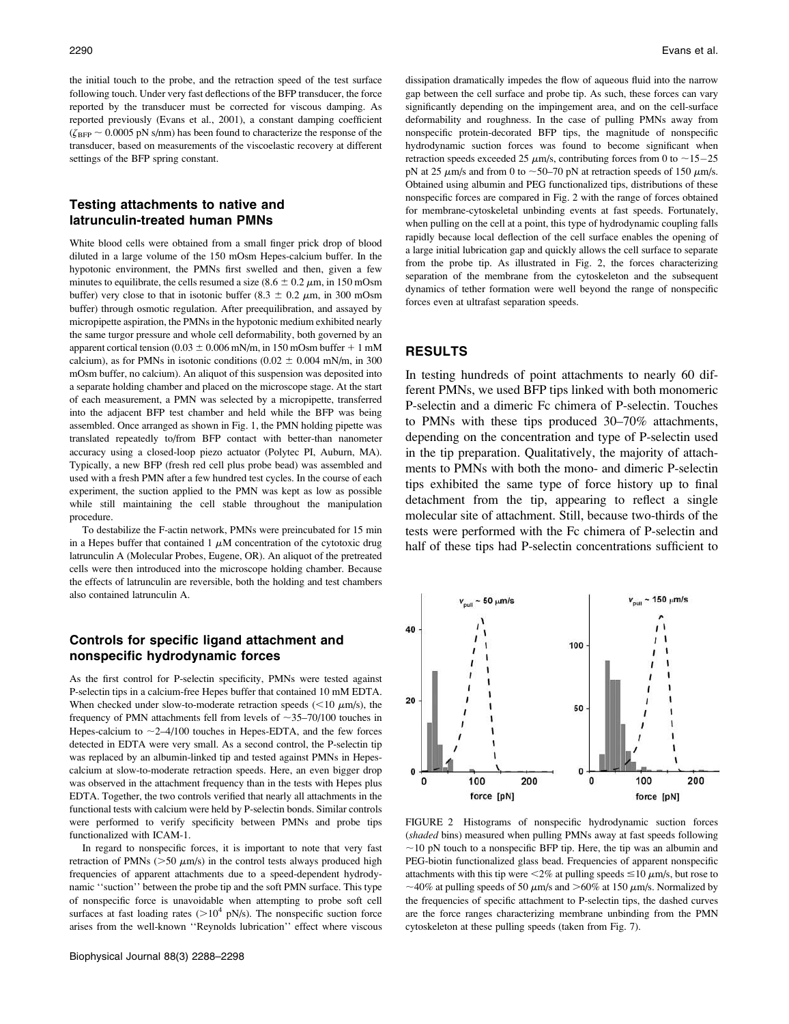the initial touch to the probe, and the retraction speed of the test surface following touch. Under very fast deflections of the BFP transducer, the force reported by the transducer must be corrected for viscous damping. As reported previously (Evans et al., 2001), a constant damping coefficient  $(\zeta_{\text{BFP}} \sim 0.0005 \text{ pN s/mm})$  has been found to characterize the response of the transducer, based on measurements of the viscoelastic recovery at different settings of the BFP spring constant.

#### Testing attachments to native and latrunculin-treated human PMNs

White blood cells were obtained from a small finger prick drop of blood diluted in a large volume of the 150 mOsm Hepes-calcium buffer. In the hypotonic environment, the PMNs first swelled and then, given a few minutes to equilibrate, the cells resumed a size (8.6  $\pm$  0.2  $\mu$ m, in 150 mOsm buffer) very close to that in isotonic buffer (8.3  $\pm$  0.2  $\mu$ m, in 300 mOsm buffer) through osmotic regulation. After preequilibration, and assayed by micropipette aspiration, the PMNs in the hypotonic medium exhibited nearly the same turgor pressure and whole cell deformability, both governed by an apparent cortical tension (0.03  $\pm$  0.006 mN/m, in 150 mOsm buffer + 1 mM calcium), as for PMNs in isotonic conditions (0.02  $\pm$  0.004 mN/m, in 300 mOsm buffer, no calcium). An aliquot of this suspension was deposited into a separate holding chamber and placed on the microscope stage. At the start of each measurement, a PMN was selected by a micropipette, transferred into the adjacent BFP test chamber and held while the BFP was being assembled. Once arranged as shown in Fig. 1, the PMN holding pipette was translated repeatedly to/from BFP contact with better-than nanometer accuracy using a closed-loop piezo actuator (Polytec PI, Auburn, MA). Typically, a new BFP (fresh red cell plus probe bead) was assembled and used with a fresh PMN after a few hundred test cycles. In the course of each experiment, the suction applied to the PMN was kept as low as possible while still maintaining the cell stable throughout the manipulation procedure.

To destabilize the F-actin network, PMNs were preincubated for 15 min in a Hepes buffer that contained  $1 \mu M$  concentration of the cytotoxic drug latrunculin A (Molecular Probes, Eugene, OR). An aliquot of the pretreated cells were then introduced into the microscope holding chamber. Because the effects of latrunculin are reversible, both the holding and test chambers also contained latrunculin A.

# Controls for specific ligand attachment and nonspecific hydrodynamic forces

As the first control for P-selectin specificity, PMNs were tested against P-selectin tips in a calcium-free Hepes buffer that contained 10 mM EDTA. When checked under slow-to-moderate retraction speeds ( $\leq 10 \ \mu m/s$ ), the frequency of PMN attachments fell from levels of  $\sim$ 35–70/100 touches in Hepes-calcium to  $\sim$ 2–4/100 touches in Hepes-EDTA, and the few forces detected in EDTA were very small. As a second control, the P-selectin tip was replaced by an albumin-linked tip and tested against PMNs in Hepescalcium at slow-to-moderate retraction speeds. Here, an even bigger drop was observed in the attachment frequency than in the tests with Hepes plus EDTA. Together, the two controls verified that nearly all attachments in the functional tests with calcium were held by P-selectin bonds. Similar controls were performed to verify specificity between PMNs and probe tips functionalized with ICAM-1.

In regard to nonspecific forces, it is important to note that very fast retraction of PMNs ( $>50 \mu m/s$ ) in the control tests always produced high frequencies of apparent attachments due to a speed-dependent hydrodynamic ''suction'' between the probe tip and the soft PMN surface. This type of nonspecific force is unavoidable when attempting to probe soft cell surfaces at fast loading rates ( $>10^4$  pN/s). The nonspecific suction force arises from the well-known ''Reynolds lubrication'' effect where viscous dissipation dramatically impedes the flow of aqueous fluid into the narrow gap between the cell surface and probe tip. As such, these forces can vary significantly depending on the impingement area, and on the cell-surface deformability and roughness. In the case of pulling PMNs away from nonspecific protein-decorated BFP tips, the magnitude of nonspecific hydrodynamic suction forces was found to become significant when retraction speeds exceeded 25  $\mu$ m/s, contributing forces from 0 to ~15-25<br>nN at 25  $\mu$ m/s and from 0 to ~50, 70 nN at retraction speeds of 150  $\mu$ m/s pN at 25  $\mu$ m/s and from 0 to ~50–70 pN at retraction speeds of 150  $\mu$ m/s. Obtained using albumin and PEG functionalized tips, distributions of these nonspecific forces are compared in Fig. 2 with the range of forces obtained for membrane-cytoskeletal unbinding events at fast speeds. Fortunately, when pulling on the cell at a point, this type of hydrodynamic coupling falls rapidly because local deflection of the cell surface enables the opening of a large initial lubrication gap and quickly allows the cell surface to separate from the probe tip. As illustrated in Fig. 2, the forces characterizing separation of the membrane from the cytoskeleton and the subsequent dynamics of tether formation were well beyond the range of nonspecific forces even at ultrafast separation speeds.

## RESULTS

In testing hundreds of point attachments to nearly 60 different PMNs, we used BFP tips linked with both monomeric P-selectin and a dimeric Fc chimera of P-selectin. Touches to PMNs with these tips produced 30–70% attachments, depending on the concentration and type of P-selectin used in the tip preparation. Qualitatively, the majority of attachments to PMNs with both the mono- and dimeric P-selectin tips exhibited the same type of force history up to final detachment from the tip, appearing to reflect a single molecular site of attachment. Still, because two-thirds of the tests were performed with the Fc chimera of P-selectin and half of these tips had P-selectin concentrations sufficient to



FIGURE 2 Histograms of nonspecific hydrodynamic suction forces (shaded bins) measured when pulling PMNs away at fast speeds following  $\sim$ 10 pN touch to a nonspecific BFP tip. Here, the tip was an albumin and PEG-biotin functionalized glass bead. Frequencies of apparent nonspecific attachments with this tip were  $\leq 2\%$  at pulling speeds  $\leq 10 \ \mu \text{m/s}$ , but rose to ~40% at pulling speeds of 50  $\mu$ m/s and >60% at 150  $\mu$ m/s. Normalized by the frequencies of specific attachment to P-selectin tips, the dashed curves are the force ranges characterizing membrane unbinding from the PMN cytoskeleton at these pulling speeds (taken from Fig. 7).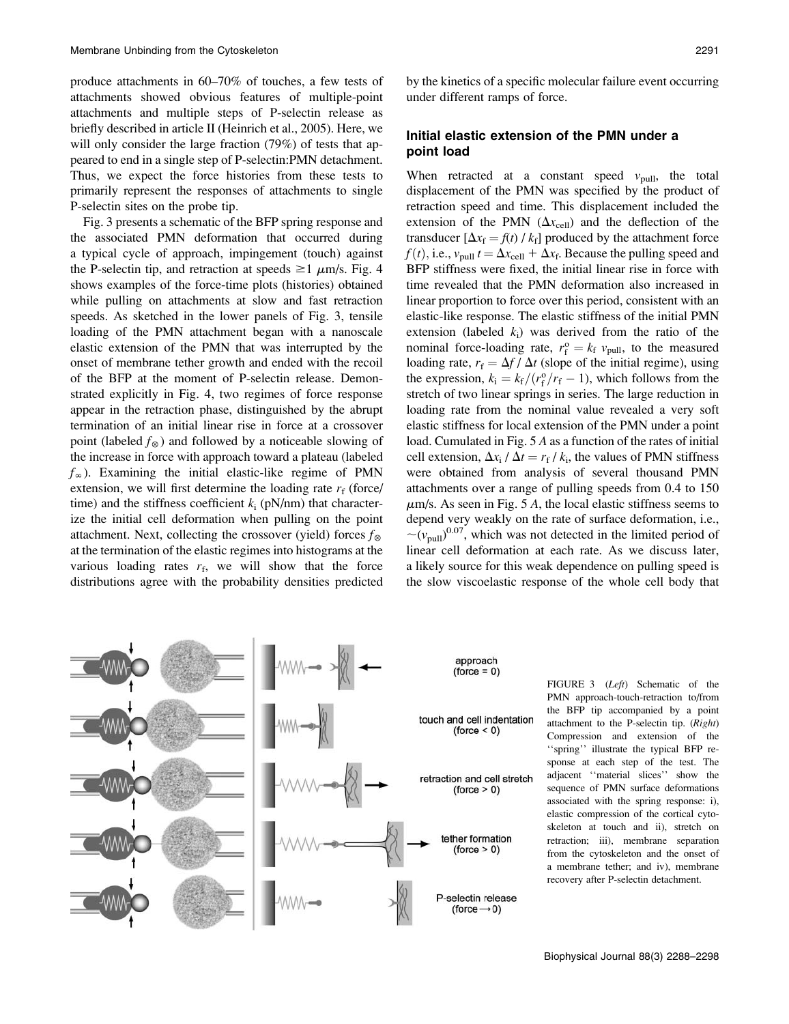produce attachments in 60–70% of touches, a few tests of attachments showed obvious features of multiple-point attachments and multiple steps of P-selectin release as briefly described in article II (Heinrich et al., 2005). Here, we will only consider the large fraction (79%) of tests that appeared to end in a single step of P-selectin:PMN detachment. Thus, we expect the force histories from these tests to primarily represent the responses of attachments to single P-selectin sites on the probe tip.

Fig. 3 presents a schematic of the BFP spring response and the associated PMN deformation that occurred during a typical cycle of approach, impingement (touch) against the P-selectin tip, and retraction at speeds  $\geq 1$   $\mu$ m/s. Fig. 4 shows examples of the force-time plots (histories) obtained while pulling on attachments at slow and fast retraction speeds. As sketched in the lower panels of Fig. 3, tensile loading of the PMN attachment began with a nanoscale elastic extension of the PMN that was interrupted by the onset of membrane tether growth and ended with the recoil of the BFP at the moment of P-selectin release. Demonstrated explicitly in Fig. 4, two regimes of force response appear in the retraction phase, distinguished by the abrupt termination of an initial linear rise in force at a crossover point (labeled  $f_{\otimes}$ ) and followed by a noticeable slowing of the increase in force with approach toward a plateau (labeled  $f_{\infty}$ ). Examining the initial elastic-like regime of PMN extension, we will first determine the loading rate  $r_f$  (force/ time) and the stiffness coefficient  $k_i$  (pN/nm) that characterize the initial cell deformation when pulling on the point attachment. Next, collecting the crossover (yield) forces  $f_{\infty}$ at the termination of the elastic regimes into histograms at the various loading rates  $r_f$ , we will show that the force distributions agree with the probability densities predicted

by the kinetics of a specific molecular failure event occurring under different ramps of force.

## Initial elastic extension of the PMN under a point load

When retracted at a constant speed  $v_{\text{pull}}$ , the total displacement of the PMN was specified by the product of retraction speed and time. This displacement included the extension of the PMN  $(\Delta x_{cell})$  and the deflection of the transducer  $[\Delta x_f = f(t) / k_f]$  produced by the attachment force  $f(t)$ , i.e.,  $v_{\text{pull}} t = \Delta x_{\text{cell}} + \Delta x_{\text{f}}$ . Because the pulling speed and BFP stiffness were fixed, the initial linear rise in force with time revealed that the PMN deformation also increased in linear proportion to force over this period, consistent with an elastic-like response. The elastic stiffness of the initial PMN extension (labeled  $k_i$ ) was derived from the ratio of the nominal force-loading rate,  $r_i^0 = k_f v_{\text{pull}}$ , to the measured<br>loading rate  $r_s = \Delta f / \Delta t$  (slope of the initial regime) using loading rate,  $r_f = \Delta f / \Delta t$  (slope of the initial regime), using the expression,  $k_i = k_f/(r_f^o/r_f - 1)$ , which follows from the stretch of two linear springs in series. The large reduction in stretch of two linear springs in series. The large reduction in loading rate from the nominal value revealed a very soft elastic stiffness for local extension of the PMN under a point load. Cumulated in Fig. 5 A as a function of the rates of initial cell extension,  $\Delta x_i / \Delta t = r_f / k_i$ , the values of PMN stiffness were obtained from analysis of several thousand PMN attachments over a range of pulling speeds from 0.4 to 150  $\mu$ m/s. As seen in Fig. 5 A, the local elastic stiffness seems to depend very weakly on the rate of surface deformation, i.e.,  $\sim (v_{\text{pull}})^{0.07}$ , which was not detected in the limited period of linear cell deformation at each rate. As we discuss later, a likely source for this weak dependence on pulling speed is the slow viscoelastic response of the whole cell body that



FIGURE 3 (Left) Schematic of the PMN approach-touch-retraction to/from the BFP tip accompanied by a point attachment to the P-selectin tip. (Right) Compression and extension of the ''spring'' illustrate the typical BFP response at each step of the test. The adjacent ''material slices'' show the sequence of PMN surface deformations associated with the spring response: i), elastic compression of the cortical cytoskeleton at touch and ii), stretch on retraction; iii), membrane separation from the cytoskeleton and the onset of a membrane tether; and iv), membrane recovery after P-selectin detachment.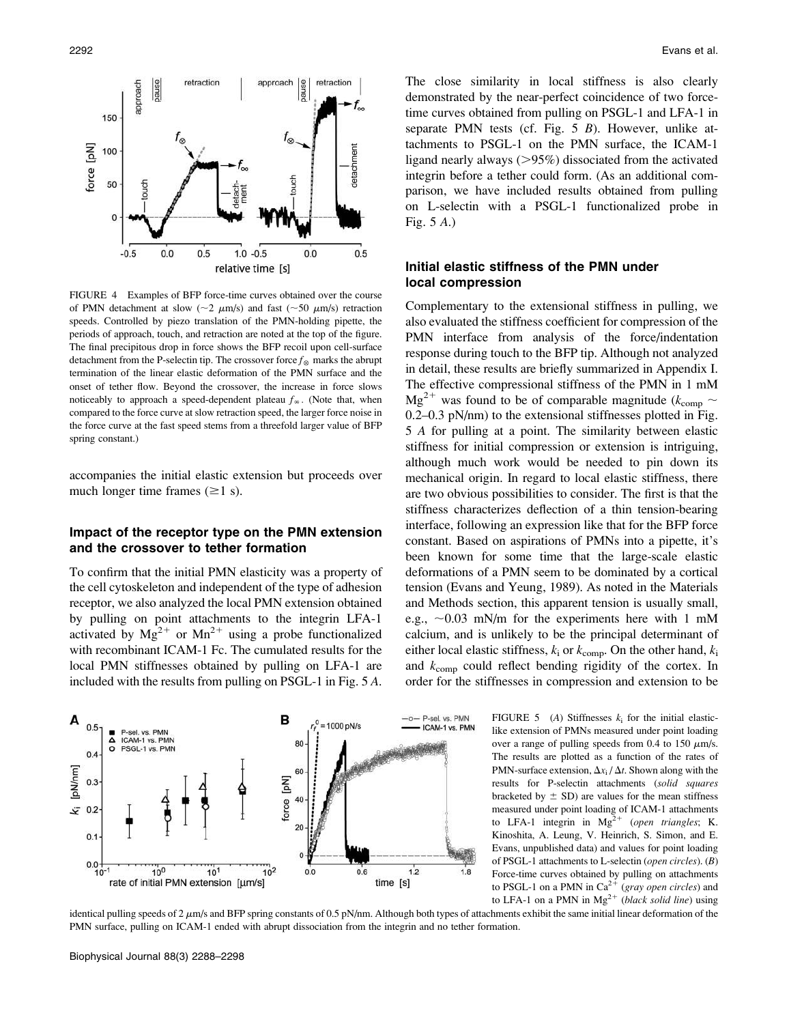

FIGURE 4 Examples of BFP force-time curves obtained over the course of PMN detachment at slow ( $\sim$ 2  $\mu$ m/s) and fast ( $\sim$ 50  $\mu$ m/s) retraction speeds. Controlled by piezo translation of the PMN-holding pipette, the periods of approach, touch, and retraction are noted at the top of the figure. The final precipitous drop in force shows the BFP recoil upon cell-surface detachment from the P-selectin tip. The crossover force  $f_{\otimes}$  marks the abrupt termination of the linear elastic deformation of the PMN surface and the onset of tether flow. Beyond the crossover, the increase in force slows noticeably to approach a speed-dependent plateau  $f_{\infty}$ . (Note that, when compared to the force curve at slow retraction speed, the larger force noise in the force curve at the fast speed stems from a threefold larger value of BFP spring constant.)

accompanies the initial elastic extension but proceeds over much longer time frames  $(\geq 1 \text{ s})$ .

#### Impact of the receptor type on the PMN extension and the crossover to tether formation

To confirm that the initial PMN elasticity was a property of the cell cytoskeleton and independent of the type of adhesion receptor, we also analyzed the local PMN extension obtained by pulling on point attachments to the integrin LFA-1 activated by  $Mg^{2+}$  or  $Mn^{2+}$  using a probe functionalized with recombinant ICAM-1 Fc. The cumulated results for the local PMN stiffnesses obtained by pulling on LFA-1 are included with the results from pulling on PSGL-1 in Fig. 5 A.



The close similarity in local stiffness is also clearly demonstrated by the near-perfect coincidence of two forcetime curves obtained from pulling on PSGL-1 and LFA-1 in separate PMN tests (cf. Fig. 5 B). However, unlike attachments to PSGL-1 on the PMN surface, the ICAM-1 ligand nearly always  $(>\!\!95\%)$  dissociated from the activated integrin before a tether could form. (As an additional comparison, we have included results obtained from pulling on L-selectin with a PSGL-1 functionalized probe in Fig. 5 A.)

## Initial elastic stiffness of the PMN under local compression

Complementary to the extensional stiffness in pulling, we also evaluated the stiffness coefficient for compression of the PMN interface from analysis of the force/indentation response during touch to the BFP tip. Although not analyzed in detail, these results are briefly summarized in Appendix I. The effective compressional stiffness of the PMN in 1 mM  $Mg^{2+}$  was found to be of comparable magnitude ( $k_{\text{comp}} \sim$ 0.2–0.3 pN/nm) to the extensional stiffnesses plotted in Fig. 5 A for pulling at a point. The similarity between elastic stiffness for initial compression or extension is intriguing, although much work would be needed to pin down its mechanical origin. In regard to local elastic stiffness, there are two obvious possibilities to consider. The first is that the stiffness characterizes deflection of a thin tension-bearing interface, following an expression like that for the BFP force constant. Based on aspirations of PMNs into a pipette, it's been known for some time that the large-scale elastic deformations of a PMN seem to be dominated by a cortical tension (Evans and Yeung, 1989). As noted in the Materials and Methods section, this apparent tension is usually small, e.g.,  $\sim 0.03$  mN/m for the experiments here with 1 mM calcium, and is unlikely to be the principal determinant of either local elastic stiffness,  $k_i$  or  $k_{\text{comp}}$ . On the other hand,  $k_i$ and  $k_{\text{comp}}$  could reflect bending rigidity of the cortex. In order for the stiffnesses in compression and extension to be

> FIGURE 5 (A) Stiffnesses  $k_i$  for the initial elasticlike extension of PMNs measured under point loading over a range of pulling speeds from 0.4 to 150  $\mu$ m/s. The results are plotted as a function of the rates of PMN-surface extension,  $\Delta x_i / \Delta t$ . Shown along with the results for P-selectin attachments (solid squares bracketed by  $\pm$  SD) are values for the mean stiffness measured under point loading of ICAM-1 attachments to LFA-1 integrin in  $Mg^{2+}$  (open triangles; K. Kinoshita, A. Leung, V. Heinrich, S. Simon, and E. Evans, unpublished data) and values for point loading of PSGL-1 attachments to L-selectin (open circles). (B) Force-time curves obtained by pulling on attachments to PSGL-1 on a PMN in  $Ca^{2+}$  (gray open circles) and to LFA-1 on a PMN in  $Mg^{2+}$  (black solid line) using

identical pulling speeds of  $2 \mu m/s$  and BFP spring constants of 0.5 pN/nm. Although both types of attachments exhibit the same initial linear deformation of the PMN surface, pulling on ICAM-1 ended with abrupt dissociation from the integrin and no tether formation.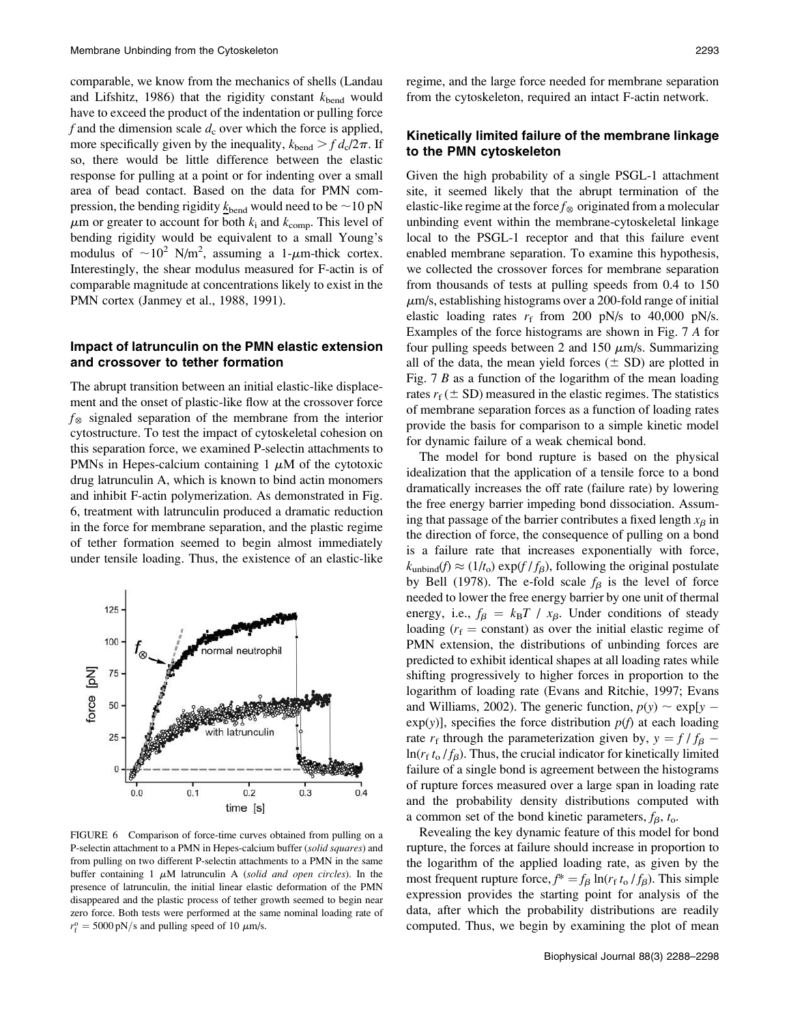comparable, we know from the mechanics of shells (Landau and Lifshitz, 1986) that the rigidity constant  $k_{\text{bend}}$  would have to exceed the product of the indentation or pulling force f and the dimension scale  $d_c$  over which the force is applied, more specifically given by the inequality,  $k_{\text{bend}} > f d_c/2\pi$ . If so, there would be little difference between the elastic response for pulling at a point or for indenting over a small area of bead contact. Based on the data for PMN compression, the bending rigidity  $k_{\text{bend}}$  would need to be  $\sim$  10 pN  $\mu$ m or greater to account for both  $k_i$  and  $k_{comp}$ . This level of bending rigidity would be equivalent to a small Young's modulus of  $\sim 10^2$  N/m<sup>2</sup>, assuming a 1- $\mu$ m-thick cortex. Interestingly, the shear modulus measured for F-actin is of comparable magnitude at concentrations likely to exist in the PMN cortex (Janmey et al., 1988, 1991).

## Impact of latrunculin on the PMN elastic extension and crossover to tether formation

The abrupt transition between an initial elastic-like displacement and the onset of plastic-like flow at the crossover force  $f_{\otimes}$  signaled separation of the membrane from the interior cytostructure. To test the impact of cytoskeletal cohesion on this separation force, we examined P-selectin attachments to PMNs in Hepes-calcium containing 1  $\mu$ M of the cytotoxic drug latrunculin A, which is known to bind actin monomers and inhibit F-actin polymerization. As demonstrated in Fig. 6, treatment with latrunculin produced a dramatic reduction in the force for membrane separation, and the plastic regime of tether formation seemed to begin almost immediately under tensile loading. Thus, the existence of an elastic-like



FIGURE 6 Comparison of force-time curves obtained from pulling on a P-selectin attachment to a PMN in Hepes-calcium buffer (solid squares) and from pulling on two different P-selectin attachments to a PMN in the same buffer containing 1  $\mu$ M latrunculin A (solid and open circles). In the presence of latrunculin, the initial linear elastic deformation of the PMN disappeared and the plastic process of tether growth seemed to begin near zero force. Both tests were performed at the same nominal loading rate of  $r_f^{\text{o}} = 5000 \text{ pN/s}$  and pulling speed of 10  $\mu$ m/s.

regime, and the large force needed for membrane separation from the cytoskeleton, required an intact F-actin network.

## Kinetically limited failure of the membrane linkage to the PMN cytoskeleton

Given the high probability of a single PSGL-1 attachment site, it seemed likely that the abrupt termination of the elastic-like regime at the force  $f_{\otimes}$  originated from a molecular unbinding event within the membrane-cytoskeletal linkage local to the PSGL-1 receptor and that this failure event enabled membrane separation. To examine this hypothesis, we collected the crossover forces for membrane separation from thousands of tests at pulling speeds from 0.4 to 150  $\mu$ m/s, establishing histograms over a 200-fold range of initial elastic loading rates  $r_f$  from 200 pN/s to 40,000 pN/s. Examples of the force histograms are shown in Fig. 7 A for four pulling speeds between 2 and 150  $\mu$ m/s. Summarizing all of the data, the mean yield forces  $(\pm SD)$  are plotted in Fig. 7 B as a function of the logarithm of the mean loading rates  $r_f$  ( $\pm$  SD) measured in the elastic regimes. The statistics of membrane separation forces as a function of loading rates provide the basis for comparison to a simple kinetic model for dynamic failure of a weak chemical bond.

The model for bond rupture is based on the physical idealization that the application of a tensile force to a bond dramatically increases the off rate (failure rate) by lowering the free energy barrier impeding bond dissociation. Assuming that passage of the barrier contributes a fixed length  $x_{\beta}$  in the direction of force, the consequence of pulling on a bond is a failure rate that increases exponentially with force,  $k_{\text{unbind}}(f) \approx (1/t_0) \exp(f/f_\beta)$ , following the original postulate by Bell (1978). The e-fold scale  $f_\beta$  is the level of force needed to lower the free energy barrier by one unit of thermal energy, i.e.,  $f_\beta = k_B T / x_\beta$ . Under conditions of steady loading ( $r_f$  = constant) as over the initial elastic regime of PMN extension, the distributions of unbinding forces are predicted to exhibit identical shapes at all loading rates while shifting progressively to higher forces in proportion to the logarithm of loading rate (Evans and Ritchie, 1997; Evans and Williams, 2002). The generic function,  $p(y) \sim \exp[y - \exp(y)]$  specifies the force distribution  $p(f)$  at each loading  $exp(y)$ , specifies the force distribution  $p(f)$  at each loading rate  $r_f$  through the parameterization given by,  $y = f/f_\beta - \ln(r_s t/f_0)$ . Thus the crucial indicator for kinetically limited  $ln(r_f t_o / f_\beta)$ . Thus, the crucial indicator for kinetically limited failure of a single bond is agreement between the histograms of rupture forces measured over a large span in loading rate and the probability density distributions computed with a common set of the bond kinetic parameters,  $f_\beta$ ,  $t_o$ .

Revealing the key dynamic feature of this model for bond rupture, the forces at failure should increase in proportion to the logarithm of the applied loading rate, as given by the most frequent rupture force,  $f^* = f_\beta \ln(r_f t_o / f_\beta)$ . This simple expression provides the starting point for analysis of the data, after which the probability distributions are readily computed. Thus, we begin by examining the plot of mean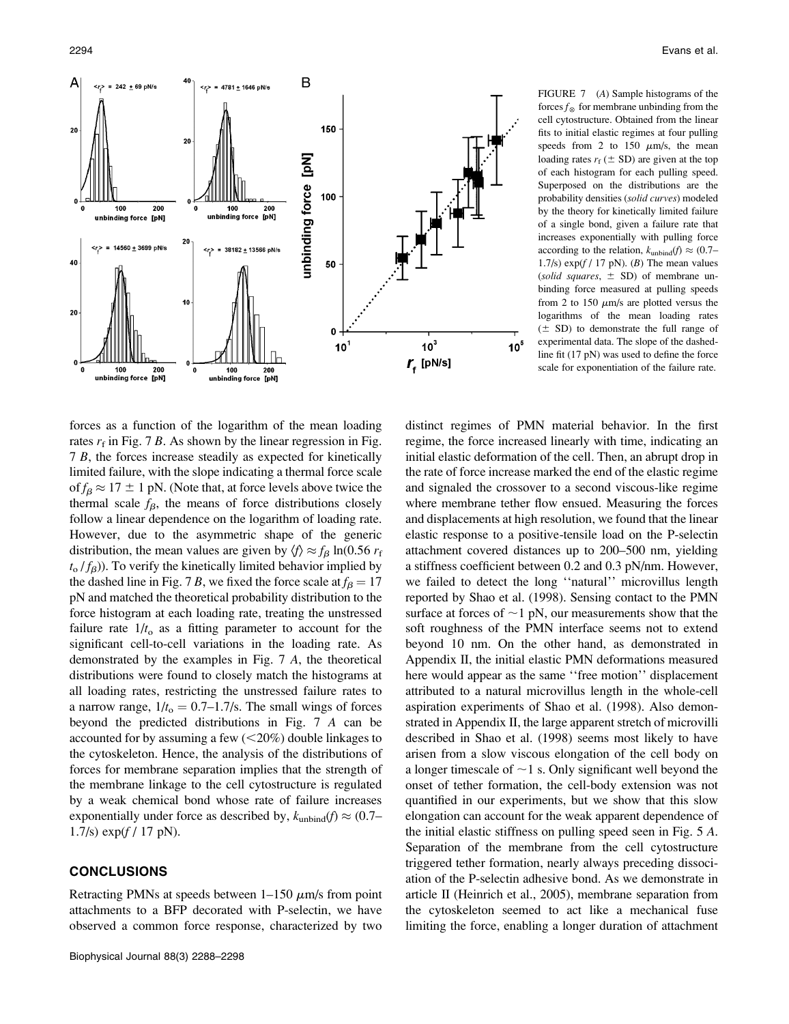A

 $\overline{20}$ 

40

20

 $= 242 + 69$  pN/s

100

unbinding force

100

unbinding force [pN]

 $\langle r \rangle$  = 14560 + 3699 pN/s

200

 $\textsf{[pN]}$ 

200

 $\overline{2}$ 

 $10$ 

38182 ± 13566 pN/s

100

unbinding force [pN]

200

50

 $\mathbf 0$ 

 $10<sup>1</sup>$ 



 $10<sup>3</sup>$ 

 $r_{\rm f}$  [pN/s]

 $10^5$ 

cell cytostructure. Obtained from the linear fits to initial elastic regimes at four pulling speeds from 2 to 150  $\mu$ m/s, the mean loading rates  $r_f$  ( $\pm$  SD) are given at the top of each histogram for each pulling speed. Superposed on the distributions are the probability densities (solid curves) modeled by the theory for kinetically limited failure of a single bond, given a failure rate that increases exponentially with pulling force according to the relation,  $k_{\text{unbind}}(f) \approx (0.7–1)$ 1.7/s)  $\exp(f / 17 \text{ pN})$ . (*B*) The mean values (solid squares,  $\pm$  SD) of membrane unbinding force measured at pulling speeds from 2 to 150  $\mu$ m/s are plotted versus the logarithms of the mean loading rates  $(\pm S)$  to demonstrate the full range of experimental data. The slope of the dashedline fit (17 pN) was used to define the force scale for exponentiation of the failure rate.

forces as a function of the logarithm of the mean loading rates  $r_f$  in Fig. 7 B. As shown by the linear regression in Fig. 7 B, the forces increase steadily as expected for kinetically limited failure, with the slope indicating a thermal force scale of  $f_\beta \approx 17 \pm 1$  pN. (Note that, at force levels above twice the thermal scale  $f_{\beta}$ , the means of force distributions closely follow a linear dependence on the logarithm of loading rate. However, due to the asymmetric shape of the generic distribution, the mean values are given by  $\langle f \rangle \approx f_B \ln(0.56 r_f)$  $t_0$  / $f_\beta$ )). To verify the kinetically limited behavior implied by the dashed line in Fig. 7 B, we fixed the force scale at  $f_B = 17$ pN and matched the theoretical probability distribution to the force histogram at each loading rate, treating the unstressed failure rate  $1/t_0$  as a fitting parameter to account for the significant cell-to-cell variations in the loading rate. As demonstrated by the examples in Fig. 7 A, the theoretical distributions were found to closely match the histograms at all loading rates, restricting the unstressed failure rates to a narrow range,  $1/t_0 = 0.7 - 1.7/s$ . The small wings of forces beyond the predicted distributions in Fig. 7 A can be accounted for by assuming a few  $(<20\%)$  double linkages to the cytoskeleton. Hence, the analysis of the distributions of forces for membrane separation implies that the strength of the membrane linkage to the cell cytostructure is regulated by a weak chemical bond whose rate of failure increases exponentially under force as described by,  $k_{\text{unbind}}(f) \approx (0.7–1)$ 1.7/s)  $exp(f / 17 pN)$ .

## CONCLUSIONS

Retracting PMNs at speeds between  $1-150 \mu m/s$  from point attachments to a BFP decorated with P-selectin, we have observed a common force response, characterized by two

distinct regimes of PMN material behavior. In the first regime, the force increased linearly with time, indicating an initial elastic deformation of the cell. Then, an abrupt drop in the rate of force increase marked the end of the elastic regime and signaled the crossover to a second viscous-like regime where membrane tether flow ensued. Measuring the forces and displacements at high resolution, we found that the linear elastic response to a positive-tensile load on the P-selectin attachment covered distances up to 200–500 nm, yielding a stiffness coefficient between 0.2 and 0.3 pN/nm. However, we failed to detect the long ''natural'' microvillus length reported by Shao et al. (1998). Sensing contact to the PMN surface at forces of  $\sim$ 1 pN, our measurements show that the soft roughness of the PMN interface seems not to extend beyond 10 nm. On the other hand, as demonstrated in Appendix II, the initial elastic PMN deformations measured here would appear as the same ''free motion'' displacement attributed to a natural microvillus length in the whole-cell aspiration experiments of Shao et al. (1998). Also demonstrated in Appendix II, the large apparent stretch of microvilli described in Shao et al. (1998) seems most likely to have arisen from a slow viscous elongation of the cell body on a longer timescale of  $\sim$ 1 s. Only significant well beyond the onset of tether formation, the cell-body extension was not quantified in our experiments, but we show that this slow elongation can account for the weak apparent dependence of the initial elastic stiffness on pulling speed seen in Fig. 5 A. Separation of the membrane from the cell cytostructure triggered tether formation, nearly always preceding dissociation of the P-selectin adhesive bond. As we demonstrate in article II (Heinrich et al., 2005), membrane separation from the cytoskeleton seemed to act like a mechanical fuse limiting the force, enabling a longer duration of attachment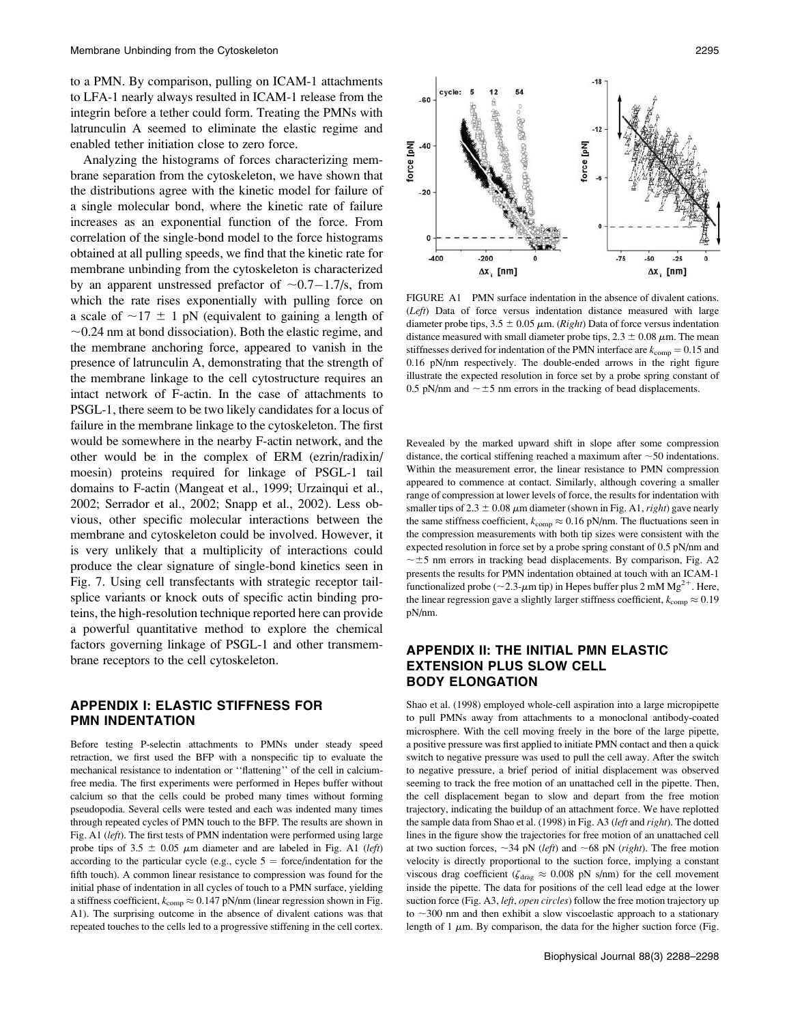to a PMN. By comparison, pulling on ICAM-1 attachments to LFA-1 nearly always resulted in ICAM-1 release from the integrin before a tether could form. Treating the PMNs with latrunculin A seemed to eliminate the elastic regime and enabled tether initiation close to zero force.

Analyzing the histograms of forces characterizing membrane separation from the cytoskeleton, we have shown that the distributions agree with the kinetic model for failure of a single molecular bond, where the kinetic rate of failure increases as an exponential function of the force. From correlation of the single-bond model to the force histograms obtained at all pulling speeds, we find that the kinetic rate for membrane unbinding from the cytoskeleton is characterized by an apparent unstressed prefactor of  $\sim 0.7-1.7$ /s, from<br>which the rate rises exponentially with pulling force on which the rate rises exponentially with pulling force on a scale of  $\sim$ 17  $\pm$  1 pN (equivalent to gaining a length of  $\sim$ 0.24 nm at bond dissociation). Both the elastic regime, and the membrane anchoring force, appeared to vanish in the presence of latrunculin A, demonstrating that the strength of the membrane linkage to the cell cytostructure requires an intact network of F-actin. In the case of attachments to PSGL-1, there seem to be two likely candidates for a locus of failure in the membrane linkage to the cytoskeleton. The first would be somewhere in the nearby F-actin network, and the other would be in the complex of ERM (ezrin/radixin/ moesin) proteins required for linkage of PSGL-1 tail domains to F-actin (Mangeat et al., 1999; Urzainqui et al., 2002; Serrador et al., 2002; Snapp et al., 2002). Less obvious, other specific molecular interactions between the membrane and cytoskeleton could be involved. However, it is very unlikely that a multiplicity of interactions could produce the clear signature of single-bond kinetics seen in Fig. 7. Using cell transfectants with strategic receptor tailsplice variants or knock outs of specific actin binding proteins, the high-resolution technique reported here can provide a powerful quantitative method to explore the chemical factors governing linkage of PSGL-1 and other transmembrane receptors to the cell cytoskeleton.

# APPENDIX I: ELASTIC STIFFNESS FOR PMN INDENTATION

Before testing P-selectin attachments to PMNs under steady speed retraction, we first used the BFP with a nonspecific tip to evaluate the mechanical resistance to indentation or ''flattening'' of the cell in calciumfree media. The first experiments were performed in Hepes buffer without calcium so that the cells could be probed many times without forming pseudopodia. Several cells were tested and each was indented many times through repeated cycles of PMN touch to the BFP. The results are shown in Fig. A1 (left). The first tests of PMN indentation were performed using large probe tips of 3.5  $\pm$  0.05  $\mu$ m diameter and are labeled in Fig. A1 (*left*) according to the particular cycle (e.g., cycle  $5 =$  force/indentation for the fifth touch). A common linear resistance to compression was found for the initial phase of indentation in all cycles of touch to a PMN surface, yielding a stiffness coefficient,  $k_{\text{comm}} \approx 0.147 \text{ pN/nm}$  (linear regression shown in Fig. A1). The surprising outcome in the absence of divalent cations was that repeated touches to the cells led to a progressive stiffening in the cell cortex.



FIGURE A1 PMN surface indentation in the absence of divalent cations. (Left) Data of force versus indentation distance measured with large diameter probe tips,  $3.5 \pm 0.05 \mu$ m. (*Right*) Data of force versus indentation distance measured with small diameter probe tips,  $2.3 \pm 0.08 \mu$ m. The mean stiffnesses derived for indentation of the PMN interface are  $k_{\text{comp}} = 0.15$  and 0.16 pN/nm respectively. The double-ended arrows in the right figure illustrate the expected resolution in force set by a probe spring constant of 0.5 pN/nm and  $\sim \pm 5$  nm errors in the tracking of bead displacements.

Revealed by the marked upward shift in slope after some compression distance, the cortical stiffening reached a maximum after  $\sim$  50 indentations. Within the measurement error, the linear resistance to PMN compression appeared to commence at contact. Similarly, although covering a smaller range of compression at lower levels of force, the results for indentation with smaller tips of 2.3  $\pm$  0.08  $\mu$ m diameter (shown in Fig. A1, *right*) gave nearly the same stiffness coefficient,  $k_{\text{comp}} \approx 0.16 \text{ pN/nm}$ . The fluctuations seen in the compression measurements with both tip sizes were consistent with the expected resolution in force set by a probe spring constant of 0.5 pN/nm and  $\sim \pm 5$  nm errors in tracking bead displacements. By comparison, Fig. A2 presents the results for PMN indentation obtained at touch with an ICAM-1 functionalized probe ( $\sim$ 2.3- $\mu$ m tip) in Hepes buffer plus 2 mM Mg<sup>2+</sup>. Here, the linear regression gave a slightly larger stiffness coefficient,  $k_{\text{comp}} \approx 0.19$ pN/nm.

# APPENDIX II: THE INITIAL PMN ELASTIC EXTENSION PLUS SLOW CELL BODY ELONGATION

Shao et al. (1998) employed whole-cell aspiration into a large micropipette to pull PMNs away from attachments to a monoclonal antibody-coated microsphere. With the cell moving freely in the bore of the large pipette, a positive pressure was first applied to initiate PMN contact and then a quick switch to negative pressure was used to pull the cell away. After the switch to negative pressure, a brief period of initial displacement was observed seeming to track the free motion of an unattached cell in the pipette. Then, the cell displacement began to slow and depart from the free motion trajectory, indicating the buildup of an attachment force. We have replotted the sample data from Shao et al. (1998) in Fig. A3 (left and right). The dotted lines in the figure show the trajectories for free motion of an unattached cell at two suction forces,  $\sim$ 34 pN (*left*) and  $\sim$ 68 pN (*right*). The free motion velocity is directly proportional to the suction force, implying a constant viscous drag coefficient ( $\zeta_{drag} \approx 0.008$  pN s/nm) for the cell movement inside the pipette. The data for positions of the cell lead edge at the lower suction force (Fig. A3, left, open circles) follow the free motion trajectory up to  $\sim$ 300 nm and then exhibit a slow viscoelastic approach to a stationary length of 1  $\mu$ m. By comparison, the data for the higher suction force (Fig.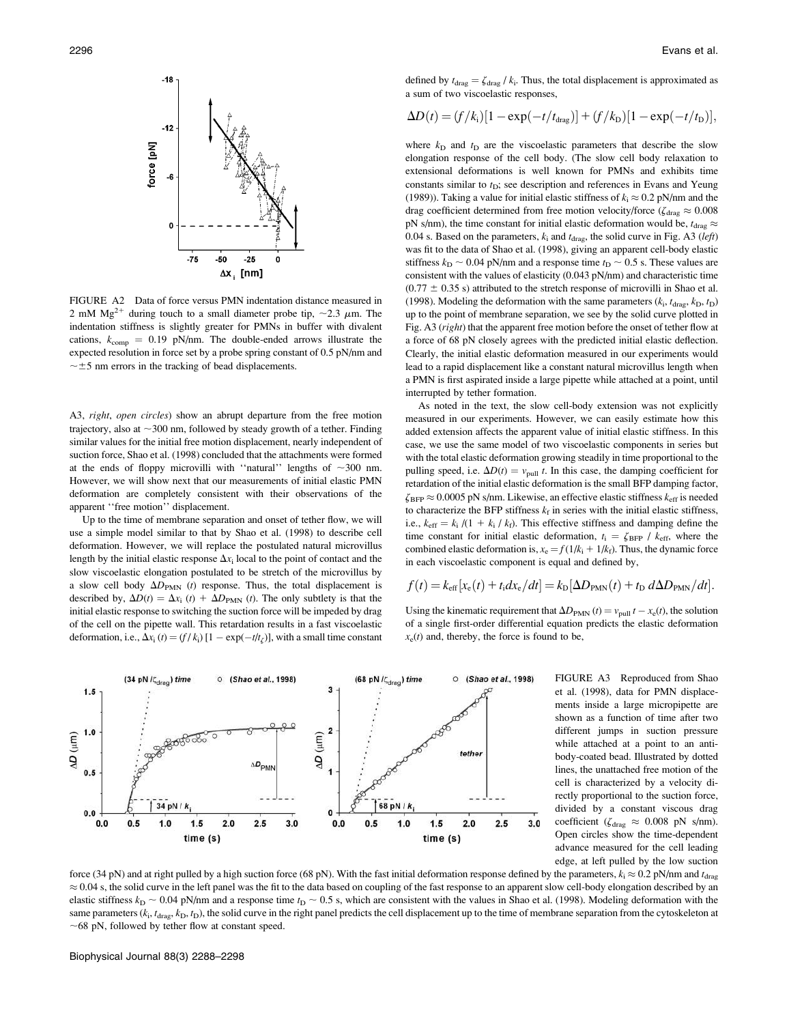

FIGURE A2 Data of force versus PMN indentation distance measured in 2 mM  $Mg^{2+}$  during touch to a small diameter probe tip,  $\sim$ 2.3  $\mu$ m. The indentation stiffness is slightly greater for PMNs in buffer with divalent cations,  $k_{\text{comp}} = 0.19 \text{ pN/mm}$ . The double-ended arrows illustrate the expected resolution in force set by a probe spring constant of 0.5 pN/nm and  $\sim$  ±5 nm errors in the tracking of bead displacements.

A3, right, open circles) show an abrupt departure from the free motion trajectory, also at  $\sim$ 300 nm, followed by steady growth of a tether. Finding similar values for the initial free motion displacement, nearly independent of suction force, Shao et al. (1998) concluded that the attachments were formed at the ends of floppy microvilli with "natural" lengths of  $\sim$ 300 nm. However, we will show next that our measurements of initial elastic PMN deformation are completely consistent with their observations of the apparent ''free motion'' displacement.

Up to the time of membrane separation and onset of tether flow, we will use a simple model similar to that by Shao et al. (1998) to describe cell deformation. However, we will replace the postulated natural microvillus length by the initial elastic response  $\Delta x_i$  local to the point of contact and the slow viscoelastic elongation postulated to be stretch of the microvillus by a slow cell body  $\Delta D_{PMN}$  (*t*) response. Thus, the total displacement is described by,  $\Delta D(t) = \Delta x_i$  (t) +  $\Delta D_{PMN}$  (t). The only subtlety is that the initial elastic response to switching the suction force will be impeded by drag of the cell on the pipette wall. This retardation results in a fast viscoelastic deformation, i.e.,  $\Delta x_i(t) = (f/k_i) [1 - \exp(-t/t_\zeta)]$ , with a small time constant

defined by  $t_{drag} = \zeta_{drag} / k_i$ . Thus, the total displacement is approximated as a sum of two viscoelastic responses,

$$
\Delta D(t) = (f/k_{\rm i})[1 - \exp(-t/t_{\rm drag})] + (f/k_{\rm D})[1 - \exp(-t/t_{\rm D})],
$$

where  $k_D$  and  $t_D$  are the viscoelastic parameters that describe the slow elongation response of the cell body. (The slow cell body relaxation to extensional deformations is well known for PMNs and exhibits time constants similar to  $t_D$ ; see description and references in Evans and Yeung (1989)). Taking a value for initial elastic stiffness of  $k_i \approx 0.2$  pN/nm and the drag coefficient determined from free motion velocity/force ( $\zeta_{drag} \approx 0.008$ pN s/nm), the time constant for initial elastic deformation would be,  $t_{drag} \approx$ 0.04 s. Based on the parameters,  $k_i$  and  $t_{drag}$ , the solid curve in Fig. A3 (left) was fit to the data of Shao et al. (1998), giving an apparent cell-body elastic stiffness  $k_D \sim 0.04$  pN/nm and a response time  $t_D \sim 0.5$  s. These values are consistent with the values of elasticity (0.043 pN/nm) and characteristic time  $(0.77 \pm 0.35 \text{ s})$  attributed to the stretch response of microvilli in Shao et al. (1998). Modeling the deformation with the same parameters  $(k_i, t_{drag}, k_D, t_D)$ up to the point of membrane separation, we see by the solid curve plotted in Fig. A3 (right) that the apparent free motion before the onset of tether flow at a force of 68 pN closely agrees with the predicted initial elastic deflection. Clearly, the initial elastic deformation measured in our experiments would lead to a rapid displacement like a constant natural microvillus length when a PMN is first aspirated inside a large pipette while attached at a point, until interrupted by tether formation.

As noted in the text, the slow cell-body extension was not explicitly measured in our experiments. However, we can easily estimate how this added extension affects the apparent value of initial elastic stiffness. In this case, we use the same model of two viscoelastic components in series but with the total elastic deformation growing steadily in time proportional to the pulling speed, i.e.  $\Delta D(t) = v_{\text{pull}} t$ . In this case, the damping coefficient for retardation of the initial elastic deformation is the small BFP damping factor,  $\zeta_{\rm BFP} \approx 0.0005$  pN s/nm. Likewise, an effective elastic stiffness  $k_{\rm eff}$  is needed to characterize the BFP stiffness  $k_f$  in series with the initial elastic stiffness, i.e.,  $k_{\text{eff}} = k_i / (1 + k_i / k_f)$ . This effective stiffness and damping define the time constant for initial elastic deformation,  $t_i = \zeta_{\text{BFP}} / k_{\text{eff}}$ , where the combined elastic deformation is,  $x_e = f(1/k_i + 1/k_f)$ . Thus, the dynamic force in each viscoelastic component is equal and defined by,

$$
f(t) = k_{\text{eff}}[x_{\text{e}}(t) + t_{\text{i}}dx_{\text{e}}/dt] = k_{\text{D}}[\Delta D_{\text{PMN}}(t) + t_{\text{D}} d\Delta D_{\text{PMN}}/dt].
$$

Using the kinematic requirement that  $\Delta D_{PMM}$  (t) =  $v_{pull} t - x_e(t)$ , the solution<br>of a single first order differential equation predicts the electic deformation of a single first-order differential equation predicts the elastic deformation  $x<sub>e</sub>(t)$  and, thereby, the force is found to be,



FIGURE A3 Reproduced from Shao et al. (1998), data for PMN displacements inside a large micropipette are shown as a function of time after two different jumps in suction pressure while attached at a point to an antibody-coated bead. Illustrated by dotted lines, the unattached free motion of the cell is characterized by a velocity directly proportional to the suction force, divided by a constant viscous drag coefficient ( $\zeta_{drag} \approx 0.008$  pN s/nm). Open circles show the time-dependent advance measured for the cell leading edge, at left pulled by the low suction

force (34 pN) and at right pulled by a high suction force (68 pN). With the fast initial deformation response defined by the parameters,  $k_i \approx 0.2$  pN/nm and  $t_{\text{drag}}$  $\approx 0.04$  s, the solid curve in the left panel was the fit to the data based on coupling of the fast response to an apparent slow cell-body elongation described by an elastic stiffness  $k_D \sim 0.04$  pN/nm and a response time  $t_D \sim 0.5$  s, which are consistent with the values in Shao et al. (1998). Modeling deformation with the same parameters  $(k_i, t_{drag}, k_D, t_D)$ , the solid curve in the right panel predicts the cell displacement up to the time of membrane separation from the cytoskeleton at  $\sim$  68 pN, followed by tether flow at constant speed.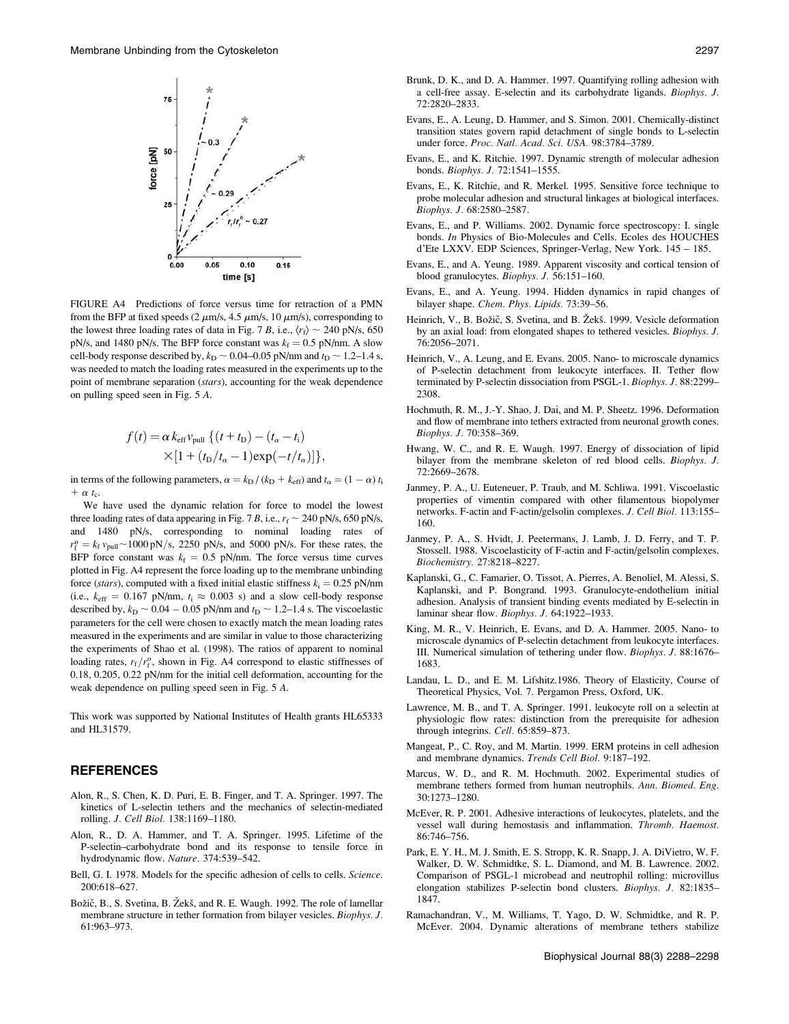

FIGURE A4 Predictions of force versus time for retraction of a PMN from the BFP at fixed speeds (2  $\mu$ m/s, 4.5  $\mu$ m/s, 10  $\mu$ m/s), corresponding to the lowest three loading rates of data in Fig. 7 B, i.e.,  $\langle r_f \rangle \sim 240$  pN/s, 650 pN/s, and 1480 pN/s. The BFP force constant was  $k_f = 0.5$  pN/nm. A slow cell-body response described by,  $k_D \sim 0.04$ –0.05 pN/nm and  $t_D \sim 1.2$ –1.4 s, was needed to match the loading rates measured in the experiments up to the point of membrane separation (stars), accounting for the weak dependence on pulling speed seen in Fig. 5 A.

$$
f(t) = \alpha k_{\text{eff}} v_{\text{pull}} \left\{ (t + t_{\text{D}}) - (t_{\alpha} - t_{\text{i}}) \times [1 + (t_{\text{D}}/t_{\alpha} - 1)\exp(-t/t_{\alpha})] \right\},\,
$$

in terms of the following parameters,  $\alpha = k_{\text{D}} / (k_{\text{D}} + k_{\text{eff}})$  and  $t_{\alpha} = (1 - \alpha) t_{\text{i}}$ +  $\alpha$  t<sub>c</sub>.

We have used the dynamic relation for force to model the lowest three loading rates of data appearing in Fig. 7 B, i.e.,  $r_f \sim 240$  pN/s, 650 pN/s, and 1480 pN/s, corresponding to nominal loading rates of  $r_f^0 = k_f v_{\text{pull}} \sim 1000 \text{ pN/s}$ , 2250 pN/s, and 5000 pN/s. For these rates, the BED force constant was  $k_f = 0.5$  pN/nm. The force versus time curves BFP force constant was  $k_f = 0.5$  pN/nm. The force versus time curves plotted in Fig. A4 represent the force loading up to the membrane unbinding force (stars), computed with a fixed initial elastic stiffness  $k_i = 0.25$  pN/nm (i.e.,  $k_{\text{eff}} = 0.167 \text{ pN/nm}, t_i \approx 0.003 \text{ s}$ ) and a slow cell-body response described by,  $k_D \sim 0.04 - 0.05$  pN/nm and  $t_D \sim 1.2$ –1.4 s. The viscoelastic<br>parameters for the cell were chosen to exactly match the mean loading rates parameters for the cell were chosen to exactly match the mean loading rates measured in the experiments and are similar in value to those characterizing the experiments of Shao et al. (1998). The ratios of apparent to nominal loading rates,  $r_f/r_f^o$ , shown in Fig. A4 correspond to elastic stiffnesses of 0.18, 0.205, 0.22 pN/nm for the initial cell deformation, accounting for the weak dependence on pulling speed seen in Fig. 5 A.

This work was supported by National Institutes of Health grants HL65333 and HL31579.

#### REFERENCES

- Alon, R., S. Chen, K. D. Puri, E. B. Finger, and T. A. Springer. 1997. The kinetics of L-selectin tethers and the mechanics of selectin-mediated rolling. J. Cell Biol. 138:1169–1180.
- Alon, R., D. A. Hammer, and T. A. Springer. 1995. Lifetime of the P-selectin–carbohydrate bond and its response to tensile force in hydrodynamic flow. Nature. 374:539–542.
- Bell, G. I. 1978. Models for the specific adhesion of cells to cells. Science. 200:618–627.
- Božič, B., S. Svetina, B. Žekš, and R. E. Waugh. 1992. The role of lamellar membrane structure in tether formation from bilayer vesicles. Biophys. J. 61:963–973.
- Brunk, D. K., and D. A. Hammer. 1997. Quantifying rolling adhesion with a cell-free assay. E-selectin and its carbohydrate ligands. Biophys. J. 72:2820–2833.
- Evans, E., A. Leung, D. Hammer, and S. Simon. 2001. Chemically-distinct transition states govern rapid detachment of single bonds to L-selectin under force. Proc. Natl. Acad. Sci. USA. 98:3784–3789.
- Evans, E., and K. Ritchie. 1997. Dynamic strength of molecular adhesion bonds. Biophys. J. 72:1541–1555.
- Evans, E., K. Ritchie, and R. Merkel. 1995. Sensitive force technique to probe molecular adhesion and structural linkages at biological interfaces. Biophys. J. 68:2580–2587.
- Evans, E., and P. Williams. 2002. Dynamic force spectroscopy: I. single bonds. In Physics of Bio-Molecules and Cells. Ecoles des HOUCHES d'Ete LXXV. EDP Sciences, Springer-Verlag, New York. 145 – 185.
- Evans, E., and A. Yeung. 1989. Apparent viscosity and cortical tension of blood granulocytes. Biophys. J. 56:151–160.
- Evans, E., and A. Yeung. 1994. Hidden dynamics in rapid changes of bilayer shape. Chem. Phys. Lipids. 73:39–56.
- Heinrich, V., B. Božič, S. Svetina, and B. Žekš. 1999. Vesicle deformation by an axial load: from elongated shapes to tethered vesicles. Biophys. J. 76:2056–2071.
- Heinrich, V., A. Leung, and E. Evans. 2005. Nano- to microscale dynamics of P-selectin detachment from leukocyte interfaces. II. Tether flow terminated by P-selectin dissociation from PSGL-1. Biophys. J. 88:2299– 2308.
- Hochmuth, R. M., J.-Y. Shao, J. Dai, and M. P. Sheetz. 1996. Deformation and flow of membrane into tethers extracted from neuronal growth cones. Biophys. J. 70:358–369.
- Hwang, W. C., and R. E. Waugh. 1997. Energy of dissociation of lipid bilayer from the membrane skeleton of red blood cells. Biophys. J. 72:2669–2678.
- Janmey, P. A., U. Euteneuer, P. Traub, and M. Schliwa. 1991. Viscoelastic properties of vimentin compared with other filamentous biopolymer networks. F-actin and F-actin/gelsolin complexes. J. Cell Biol. 113:155– 160.
- Janmey, P. A., S. Hvidt, J. Peetermans, J. Lamb, J. D. Ferry, and T. P. Stossell. 1988. Viscoelasticity of F-actin and F-actin/gelsolin complexes. Biochemistry. 27:8218–8227.
- Kaplanski, G., C. Famarier, O. Tissot, A. Pierres, A. Benoliel, M. Alessi, S. Kaplanski, and P. Bongrand. 1993. Granulocyte-endothelium initial adhesion. Analysis of transient binding events mediated by E-selectin in laminar shear flow. Biophys. J. 64:1922–1933.
- King, M. R., V. Heinrich, E. Evans, and D. A. Hammer. 2005. Nano- to microscale dynamics of P-selectin detachment from leukocyte interfaces. III. Numerical simulation of tethering under flow. Biophys. J. 88:1676– 1683.
- Landau, L. D., and E. M. Lifshitz.1986. Theory of Elasticity, Course of Theoretical Physics, Vol. 7. Pergamon Press, Oxford, UK.
- Lawrence, M. B., and T. A. Springer. 1991. leukocyte roll on a selectin at physiologic flow rates: distinction from the prerequisite for adhesion through integrins. Cell. 65:859–873.
- Mangeat, P., C. Roy, and M. Martin. 1999. ERM proteins in cell adhesion and membrane dynamics. Trends Cell Biol. 9:187–192.
- Marcus, W. D., and R. M. Hochmuth. 2002. Experimental studies of membrane tethers formed from human neutrophils. Ann. Biomed. Eng. 30:1273–1280.
- McEver, R. P. 2001. Adhesive interactions of leukocytes, platelets, and the vessel wall during hemostasis and inflammation. Thromb. Haemost. 86:746–756.
- Park, E. Y. H., M. J. Smith, E. S. Stropp, K. R. Snapp, J. A. DiVietro, W. F. Walker, D. W. Schmidtke, S. L. Diamond, and M. B. Lawrence. 2002. Comparison of PSGL-1 microbead and neutrophil rolling: microvillus elongation stabilizes P-selectin bond clusters. Biophys. J. 82:1835– 1847.
- Ramachandran, V., M. Williams, T. Yago, D. W. Schmidtke, and R. P. McEver. 2004. Dynamic alterations of membrane tethers stabilize